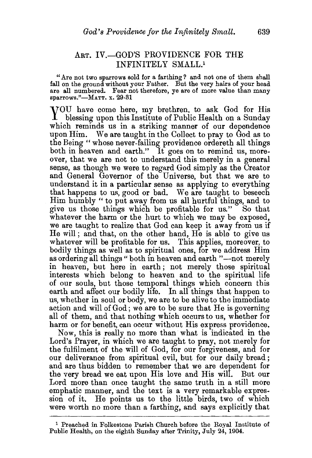## ART. IV.-GOD'S PROVIDENCE FOR THE INFINITELY SMALL.<sup>1</sup>

"Are not two sparrows sold for a farthing? and not one of them shall fall on the ground without your Father. But the very hairs of your head are all numbered. Fear not therefore, ye are of more value than many sparrows."-MATT. x. 29-31

YOU have come here, my brethren, to ask God for His blessing upon this Institute of Public Health on a Sunday which reminds us in a striking manner of our dependence upon Him. We are taught in the Collect to pray to God as to the Being " whose never-failing providence ordereth all things both in heaven and earth." It goes on to remind us, moreover, that we are not to understand this merely in a general sense, as though we were to regard God simply as the Creator and General Governor of the Universe, but that we are to understand it in a particular sense as applying to everything that happens to us, good or bad. We are taught to beseech Him humbly "to put away from us all hurtful things, and to give us those things which be profitable for us." So that whatever the harm or the hurt to which we may be exposed. we are taught to realize that God can keep it away from us if He will; and that, on the other hand, He is able to give us whatever will be profitable for us. This applies, moreover, to bodily things as well as to spiritual ones, for we address Him as ordering all things " both in heaven and earth "--not merely in heaven, but here in earth; not merely those spiritual interests which belong to heaven and to the spiritual life of our souls, but those temporal things which concern this earth and affect our bodily life. In all things that happen to us, whether in soul or body, we are to be alive to the immediate action and will of God; we are to be sure that He is governing all of them, and that nothing which occurs to us, whether for harm or for benefit, can occur without His express providence.

Now, this is really no more than what is indicated in the Lord's Prayer, in which we are taught to pray, not merely for the fulfilment of the will of God, for our forgiveness, and for our deliverance from spiritual evil, but for our daily bread; and are thus bidden to remember that we are dependent for the very bread we eat upon His love and His will. But our Lord more than once taught the same truth in a still more emphatic manner, and the text is a very remarkable expression of it. He points us to the little birds, two of which were worth no more than a farthing, and says explicitly that

<sup>&</sup>lt;sup>1</sup> Preached in Folkestone Parish Church before the Royal Institute of Public Health, on the eighth Sunday after Trinity, July 24, 1904.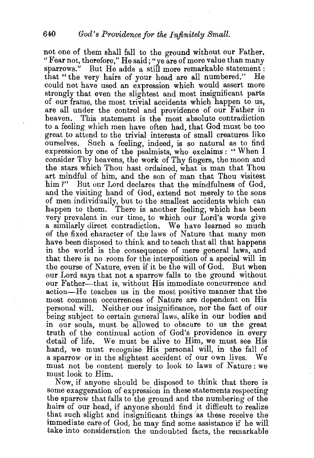not one of them shall fall to the ground without our Father. "Fear not, therefore," He said; "ye are of more value than many sparrows." But He adds a still more remarkable statement :<br>that "the very hairs of your head are all numbered." He that "the very hairs of your head are all numbered." could not have used an expression which would assert more strongly that even the slightest and most insignificant parts of our frame, the most trivial accidents which happen to us, are all under the control and providence of our Father in heaven. This statement is the most absolute contradiction This statement is the most absolute contradiction to a feeling which men have often had, that God must be too great to attend to the trivial interests of small creatures like Such a feeling, indeed, is so natural as to find expression by one of the psalmists, who exclaims: "When I consider Thy heavens, the work of Thy fingers, the moon and the stars which Thou hast ordained, what is man that Thou art mindful of him, and the son of man that Thou visitest him?" But our Lord declares that the mindfulness of God, and the visiting band of God, extend not merely to the sons of men individually, but to the smallest accidents which can happen to them. There is another feeling, which has been very prevalent in our time, to which our Lord's words give a similarly direct contradiction. We have learned so much of the fixed character of the laws of Nature that many men have been disposed to think and to teach that all that happens in the world is the consequence of mere general laws, and that there is no room for the interposition of a special will in the course of Nature, even if it be the will of God. But when our Lord says that not a sparrow falls to the ground without our Father-that is, without His immediate concurrence and action-He teaches us in the most positive manner that the most common occurrences of Nature are dependent on His personal will. Neither our insignificance, nor the fact of our being subject to certain general laws, alike in our bodies and in our souls, must be allowed to obscure to us the great truth of the continual action of God's providence in every detail of life. We must be alive to Him, we must see His band, we must recognise His personal will, in the fall of a sparrow or in the slightest accident of our own lives. We must not be content merely to look to laws of Nature: we must look to Him.

Now, if anyone should be disposed to think that there is some exaggeration of expression in these statements respecting the sparrow that falls to the ground and the numbering of the hairs of our head, if anyone should find it difficult to realize that such slight and insignificant things as these receive the Immediate care of God, he may find some assistance if he will take into consideration the undoubted facts, the remarkable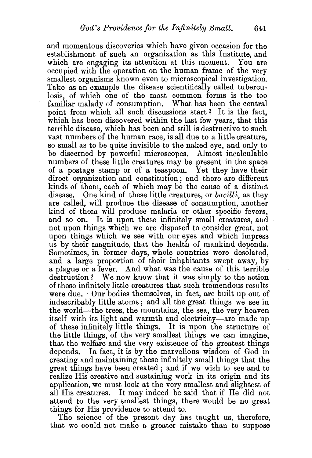and momentous discoveries which have given occasion for the establishment of such an organization as this Institute, and which are engaging its attention at this moment. You are occupied with the operation on the human frame of the very smallest organisms known even to microscopical investigation. Take as an example the disease scientifically called tuberculosis, of which one of the most common forms is the too familiar malady of consumption. What has been the central point from which all such discussions start? It is the fact, which has been discovered within the last few years, that this terrible disease, which has been and still is destructive to such vast numbers of the human race, is all due to a little creature, so small as to be quite invisible to the naked eye, and only to be discerned by powerful microscopes. Almost incalculable numbers of these little creatures may be present in the space of a postage stamp or of a teaspoon. Yet they have their direct organization and constitution; and there are different kinds of them, each of which may be the cause of a distinct disease. One kind of these little creatures, or *bacilli,* as they are called, will produce the disease of consumption, another kind of them will produce malaria or other specific fevers, and so on. It is upon these infinitely small creatures, and not upon things which we are disposed to consider great, not upon things which we see with our eyes and which impress us by their magnitude, that the health of mankind depends. Sometimes, in former days, whole countries were desolated, and a large proportion of their inhabitants swept away, by a plague or a fever. And what was the cause of this terrible destruction? We now know that it was simply to the action of these infinitelv little creatures that such tremendous results were due. Our bodies themselves, in fact, are built up out of indescribably little atoms; and all the great things we see in the world-the trees, the mountains, the sea, the very heaven itself with its light and warmth and electricity-are made up of these infinitely little things. It is upon the structure of the little things, of the very smallest things we can imagine, that the welfare and the very existence of the greatest things depends. In fact, it is by the marvellous wisdom of God in creating and maintaining these infinitely small things that the great things have been created; and if we wish to see and to realize His creative and sustaining work in its origin and its application, we must look at the very smallest and slightest of all His creatures. It may indeed be said that if He did not attend to the very smallest things, there would be no great things for His providence to attend to.

The science of the present day has taught us, therefore, that we could not make a greater mistake than to suppose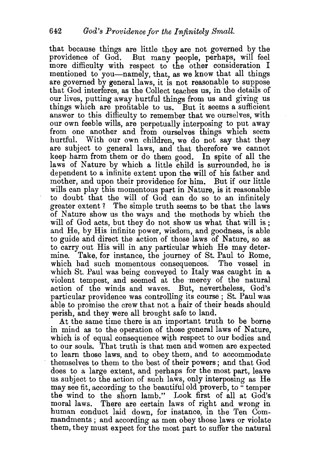that because things are little they are not governed by the providence of God. But many people, perhaps, will feel more difficulty with respect to the other consideration I mentioned to you-namely, that, as we know that all things are governed by general laws, it is not reasonable to suppose that God interferes, as the Collect teaches us, in the details of our lives, putting away hurtful things from us and giving us things which are profitable to us. But it seems a sufficient answer to this difficulty to remember that we ourselves, with our own feeble wills, are perpetually interposing to put away from one another and from ourselves things which seem hurtful. With our own children, we do not say that they are subject to general laws, and that therefore we cannot keep harm from them or do them good. In spite of all the laws of Nature by which a little child is surrounded, he is dependent to a infinite extent upon the will of his father and mother, and upon their providence for him. But if our little wills can play this momentous part in Nature, is it reasonable to doubt that the will of God can do so to an infinitely greater extent? The simple truth seems to be that the laws of Nature show us the ways and the methods by which the will of God acts, but they do not show us what that will is; and He, by His infinite power, wisdom, and goodness, is able to guide and direct the action of those laws of Nature, so as to carry out His will in any particular which He may determine. Take, for instance, the journey of St. Paul to Rome, which had such momentous consequences. The vessel in which St. Paul was being conveyed to Italy was caught in a violent tempest, and seemed at the mercy of the natural action of the winds and waves. But, nevertheless, God's particular providence was controlling its course ; St. Paul was able to promise the crew that not a hair of their heads should perish, and they were all brought safe to land.

At the same time there is an important truth to be borne in mind as to the operation of those general laws of Nature, which is of equal consequence with respect to our bodies and to our souls. That truth is that men and women are expected to learn those laws, and to obey them, and to accommodate themselves to them to the best of their powers; and that God does to a large extent, and perhaps for the most part, leave us subject to the action of such laws, only interposing as He may see fit, according to the beautiful old proverb, to "temper the wind to the shorn lamb." Look first of all at God's moral laws. There are certain laws of right and wrong in human conduct laid down, for instance, in the Ten Commandments ; and according as men obey those laws or violate them, they must expect for the most part to suffer the natural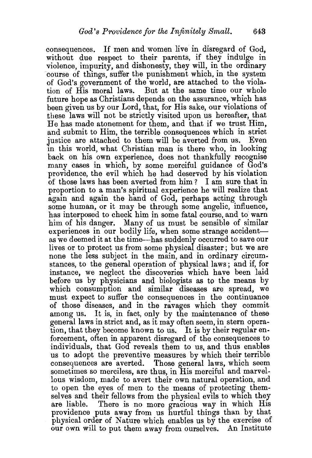consequences. If men and women live in disregard of God, without due respect to their parents, if they indulge in violence, impurity, and dishonesty, they will, in the ordinary course of things, suffer the punishment which, in the system of God's government of the world, are attached to the violation of His moral laws. But at the same time our whole future hope as Christians depends on the assurance, which has been given us by our Lord, that, for His sake, our violations of these laws will not be strictly visited upon us hereafter, that He has made atonement for them, and that if we trust Him, and submit to Him, the terrible consequences which in strict justice are attached to them will be averted from us. Even m this world, what Christian man is there who, in looking back on his own experience, does not thankfully recognise many cases in which, by some merciful guidance of God's providence, the evil which he had deserved by his violation of those laws has been averted from him? I am sure that in proportion to a man's spiritual experience he will realize that again and again the hand of God, perhaps acting through some human, or it may be through some angelic, influence, has interposed to check him in some fatal course, and to warn him of his danger. Many of us must be sensible of similar experiences in our bodily life, when some strange accidentas we deemed it at the time-has suddenly occurred to save our lives or to protect us from some physical disaster; but we are none the less subject in the main, and in ordinary circumstances, to the general operation of physical laws; and if, for instance, we neglect the discoveries which have been laid before us by physicians and biologists as to the means by which consumption and similar diseases are spread, we must expect to suffer the consequences in the continuance of those diseases, and in the ravages which they commit among us. It is, in fact, only by the maintenance of these general laws in strict and, as it may often seem, in stern operation, that they become known to us. It is by their regular enforcement, often in apparent disregard of the consequences to individuals, that God reveals them to us, and thus enables us to adopt the preventive measures by which their terrible consequences are averted. Those general laws, which seem sometimes so merciless, are thus, in His merciful and marvellous wisdom, made to avert their own natural operation, and to open the eyes of men to the means of protecting themselves and their fellows from the physical evils to which they are liable. There is no more gracious way in which His providence puts away from us hurtful things than by that physical order of Nature which enables us by the exercise of our own will to put them away from ourselves. An Institute